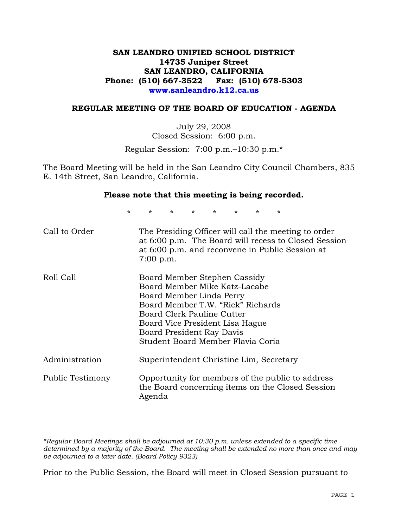## **SAN LEANDRO UNIFIED SCHOOL DISTRICT 14735 Juniper Street SAN LEANDRO, CALIFORNIA Phone: (510) 667-3522 Fax: (510) 678-5303 www.sanleandro.k12.ca.us**

### **REGULAR MEETING OF THE BOARD OF EDUCATION - AGENDA**

July 29, 2008 Closed Session: 6:00 p.m.

Regular Session: 7:00 p.m.–10:30 p.m.\*

The Board Meeting will be held in the San Leandro City Council Chambers, 835 E. 14th Street, San Leandro, California.

### **Please note that this meeting is being recorded.**

\* \* \* \* \* \* \* \*

| Call to Order    | The Presiding Officer will call the meeting to order<br>at 6:00 p.m. The Board will recess to Closed Session<br>at 6:00 p.m. and reconvene in Public Session at<br>$7:00$ p.m.                                                                                    |
|------------------|-------------------------------------------------------------------------------------------------------------------------------------------------------------------------------------------------------------------------------------------------------------------|
| Roll Call        | Board Member Stephen Cassidy<br>Board Member Mike Katz-Lacabe<br>Board Member Linda Perry<br>Board Member T.W. "Rick" Richards<br>Board Clerk Pauline Cutter<br>Board Vice President Lisa Hague<br>Board President Ray Davis<br>Student Board Member Flavia Coria |
| Administration   | Superintendent Christine Lim, Secretary                                                                                                                                                                                                                           |
| Public Testimony | Opportunity for members of the public to address<br>the Board concerning items on the Closed Session<br>Agenda                                                                                                                                                    |

*\*Regular Board Meetings shall be adjourned at 10:30 p.m. unless extended to a specific time determined by a majority of the Board. The meeting shall be extended no more than once and may be adjourned to a later date. (Board Policy 9323)* 

Prior to the Public Session, the Board will meet in Closed Session pursuant to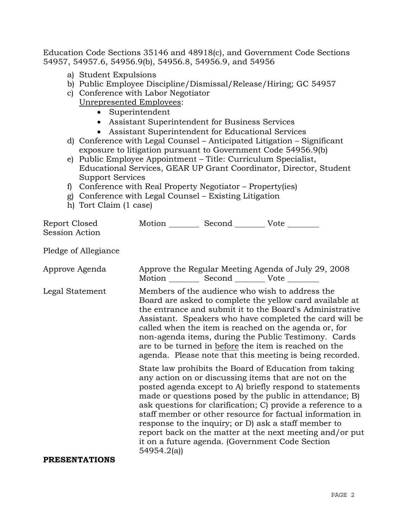Education Code Sections 35146 and 48918(c), and Government Code Sections 54957, 54957.6, 54956.9(b), 54956.8, 54956.9, and 54956

- a) Student Expulsions
- b) Public Employee Discipline/Dismissal/Release/Hiring; GC 54957
- c) Conference with Labor Negotiator Unrepresented Employees:
	- Superintendent
	- Assistant Superintendent for Business Services
	- Assistant Superintendent for Educational Services
- d) Conference with Legal Counsel Anticipated Litigation Significant exposure to litigation pursuant to Government Code 54956.9(b)
- e) Public Employee Appointment Title: Curriculum Specialist, Educational Services, GEAR UP Grant Coordinator, Director, Student Support Services
- f) Conference with Real Property Negotiator Property(ies)
- g) Conference with Legal Counsel Existing Litigation
- h) Tort Claim (1 case)

| Report Closed<br>Session Action | Motion __________ Second __________ Vote ________   |                                                                                                                                                                                                                                                                                                                                                                                                                                                                                                                                            |
|---------------------------------|-----------------------------------------------------|--------------------------------------------------------------------------------------------------------------------------------------------------------------------------------------------------------------------------------------------------------------------------------------------------------------------------------------------------------------------------------------------------------------------------------------------------------------------------------------------------------------------------------------------|
| Pledge of Allegiance            |                                                     |                                                                                                                                                                                                                                                                                                                                                                                                                                                                                                                                            |
| Approve Agenda                  | Motion __________ Second ___________ Vote _________ | Approve the Regular Meeting Agenda of July 29, 2008                                                                                                                                                                                                                                                                                                                                                                                                                                                                                        |
| Legal Statement                 |                                                     | Members of the audience who wish to address the<br>Board are asked to complete the yellow card available at<br>the entrance and submit it to the Board's Administrative<br>Assistant. Speakers who have completed the card will be<br>called when the item is reached on the agenda or, for<br>non-agenda items, during the Public Testimony. Cards<br>are to be turned in before the item is reached on the<br>agenda. Please note that this meeting is being recorded.                                                                   |
| <b>PRESENTATIONS</b>            | 54954.2(a)                                          | State law prohibits the Board of Education from taking<br>any action on or discussing items that are not on the<br>posted agenda except to A) briefly respond to statements<br>made or questions posed by the public in attendance; B)<br>ask questions for clarification; C) provide a reference to a<br>staff member or other resource for factual information in<br>response to the inquiry; or D) ask a staff member to<br>report back on the matter at the next meeting and/or put<br>it on a future agenda. (Government Code Section |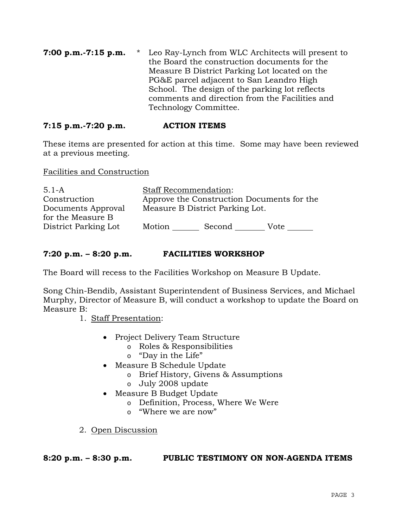**7:00 p.m.-7:15 p.m.** \* Leo Ray-Lynch from WLC Architects will present to the Board the construction documents for the Measure B District Parking Lot located on the PG&E parcel adjacent to San Leandro High School. The design of the parking lot reflects comments and direction from the Facilities and Technology Committee.

## **7:15 p.m.-7:20 p.m. ACTION ITEMS**

These items are presented for action at this time. Some may have been reviewed at a previous meeting.

Facilities and Construction

| $5.1 - A$            | <b>Staff Recommendation:</b> |                                            |      |
|----------------------|------------------------------|--------------------------------------------|------|
| Construction         |                              | Approve the Construction Documents for the |      |
| Documents Approval   |                              | Measure B District Parking Lot.            |      |
| for the Measure B    |                              |                                            |      |
| District Parking Lot | Motion                       | Second                                     | Vote |

## **7:20 p.m. – 8:20 p.m. FACILITIES WORKSHOP**

The Board will recess to the Facilities Workshop on Measure B Update.

Song Chin-Bendib, Assistant Superintendent of Business Services, and Michael Murphy, Director of Measure B, will conduct a workshop to update the Board on Measure B:

1. Staff Presentation:

- Project Delivery Team Structure
	- o Roles & Responsibilities
	- o "Day in the Life"
- Measure B Schedule Update
	- o Brief History, Givens & Assumptions
	- o July 2008 update
- Measure B Budget Update
	- o Definition, Process, Where We Were
	- o "Where we are now"
- 2. Open Discussion

### **8:20 p.m. – 8:30 p.m. PUBLIC TESTIMONY ON NON-AGENDA ITEMS**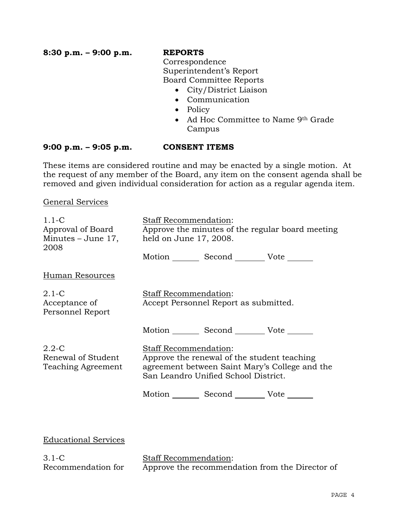**8:30 p.m. – 9:00 p.m. REPORTS**

 Correspondence Superintendent's Report Board Committee Reports

- City/District Liaison
- Communication
- Policy
- Ad Hoc Committee to Name 9th Grade Campus

### **9:00 p.m. – 9:05 p.m. CONSENT ITEMS**

These items are considered routine and may be enacted by a single motion. At the request of any member of the Board, any item on the consent agenda shall be removed and given individual consideration for action as a regular agenda item.

General Services

Recommendation for

| $1.1 - C$<br>Approval of Board<br>Minutes – June 17,<br>2008                   | Staff Recommendation:<br>held on June 17, 2008. |                                                                                     | Approve the minutes of the regular board meeting |
|--------------------------------------------------------------------------------|-------------------------------------------------|-------------------------------------------------------------------------------------|--------------------------------------------------|
|                                                                                |                                                 | Motion Second Vote ______                                                           |                                                  |
| <b>Human Resources</b>                                                         |                                                 |                                                                                     |                                                  |
| $2.1-C$<br>Acceptance of<br>Personnel Report                                   | Staff Recommendation:                           | Accept Personnel Report as submitted.                                               |                                                  |
|                                                                                |                                                 | Motion Second Vote                                                                  |                                                  |
| $2.2 - C$<br>Staff Recommendation:<br>Renewal of Student<br>Teaching Agreement |                                                 | Approve the renewal of the student teaching<br>San Leandro Unified School District. | agreement between Saint Mary's College and the   |
|                                                                                |                                                 | Motion Second Vote                                                                  |                                                  |
|                                                                                |                                                 |                                                                                     |                                                  |
| <b>Educational Services</b>                                                    |                                                 |                                                                                     |                                                  |
| $3.1-C$                                                                        | <b>Staff Recommendation:</b>                    |                                                                                     |                                                  |

Approve the recommendation from the Director of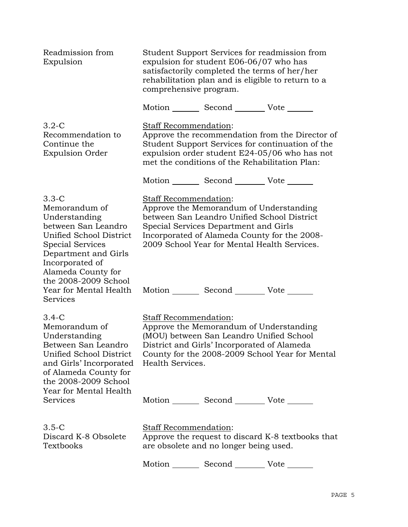| Readmission from<br>Expulsion                                                                                                                                                         | Student Support Services for readmission from<br>expulsion for student E06-06/07 who has<br>satisfactorily completed the terms of her/her<br>rehabilitation plan and is eligible to return to a<br>comprehensive program.                                       |
|---------------------------------------------------------------------------------------------------------------------------------------------------------------------------------------|-----------------------------------------------------------------------------------------------------------------------------------------------------------------------------------------------------------------------------------------------------------------|
|                                                                                                                                                                                       | Motion _________ Second __________ Vote _______                                                                                                                                                                                                                 |
| $3.2 - C$<br>Recommendation to<br>Continue the<br><b>Expulsion Order</b>                                                                                                              | Staff Recommendation:<br>Approve the recommendation from the Director of<br>Student Support Services for continuation of the<br>expulsion order student E24-05/06 who has not<br>met the conditions of the Rehabilitation Plan:                                 |
|                                                                                                                                                                                       | Motion _________ Second __________ Vote _______                                                                                                                                                                                                                 |
| 3.3-C<br>Memorandum of<br>Understanding<br>between San Leandro<br>Unified School District<br><b>Special Services</b><br>Department and Girls<br>Incorporated of<br>Alameda County for | <b>Staff Recommendation:</b><br>Approve the Memorandum of Understanding<br>between San Leandro Unified School District<br>Special Services Department and Girls<br>Incorporated of Alameda County for the 2008-<br>2009 School Year for Mental Health Services. |
| the 2008-2009 School<br>Year for Mental Health<br>Services                                                                                                                            | Motion Second Vote                                                                                                                                                                                                                                              |
| 3.4-C<br>Memorandum of<br>Understanding<br>Between San Leandro<br>Unified School District<br>and Girls' Incorporated<br>of Alameda County for<br>the 2008-2009 School                 | <b>Staff Recommendation:</b><br>Approve the Memorandum of Understanding<br>(MOU) between San Leandro Unified School<br>District and Girls' Incorporated of Alameda<br>County for the 2008-2009 School Year for Mental<br>Health Services.                       |
| Year for Mental Health<br>Services                                                                                                                                                    | Motion _________ Second __________ Vote _______                                                                                                                                                                                                                 |
| $3.5 - C$<br>Discard K-8 Obsolete<br>Textbooks                                                                                                                                        | <b>Staff Recommendation:</b><br>Approve the request to discard K-8 textbooks that<br>are obsolete and no longer being used.                                                                                                                                     |
|                                                                                                                                                                                       | Motion _________ Second ___________ Vote _______                                                                                                                                                                                                                |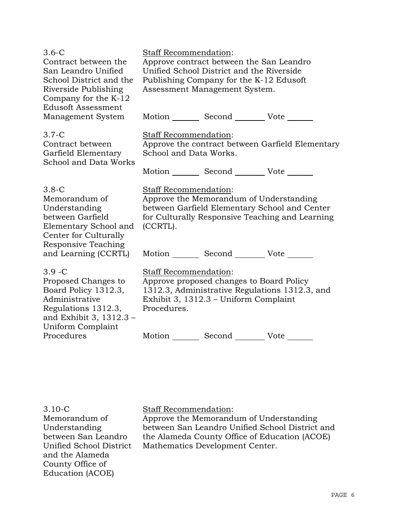| $3.6 - C$<br>Contract between the<br>San Leandro Unified<br>School District and the<br>Riverside Publishing<br>Company for the K-12<br><b>Edusoft Assessment</b> | <b>Staff Recommendation:</b><br>Approve contract between the San Leandro<br>Unified School District and the Riverside<br>Publishing Company for the K-12 Edusoft<br>Assessment Management System. |                                                 |                                                                                                  |
|------------------------------------------------------------------------------------------------------------------------------------------------------------------|---------------------------------------------------------------------------------------------------------------------------------------------------------------------------------------------------|-------------------------------------------------|--------------------------------------------------------------------------------------------------|
| Management System                                                                                                                                                |                                                                                                                                                                                                   | Motion _________ Second __________ Vote _______ |                                                                                                  |
| $3.7-C$<br>Contract between<br>Garfield Elementary<br>School and Data Works                                                                                      | Staff Recommendation:<br>School and Data Works.                                                                                                                                                   |                                                 | Approve the contract between Garfield Elementary                                                 |
|                                                                                                                                                                  |                                                                                                                                                                                                   | Motion _________ Second __________ Vote _______ |                                                                                                  |
| $3.8-C$<br>Memorandum of<br>Understanding<br>between Garfield<br>Elementary School and<br>Center for Culturally<br>Responsive Teaching                           | Staff Recommendation:<br>(CCRTL).                                                                                                                                                                 | Approve the Memorandum of Understanding         | between Garfield Elementary School and Center<br>for Culturally Responsive Teaching and Learning |
| and Learning (CCRTL)                                                                                                                                             |                                                                                                                                                                                                   | Motion _________ Second _________ Vote _______  |                                                                                                  |
| $3.9 - C$<br>Proposed Changes to<br>Board Policy 1312.3,<br>Administrative<br>Regulations 1312.3,<br>and Exhibit 3, 1312.3 -<br>Uniform Complaint                | Staff Recommendation:<br>Approve proposed changes to Board Policy<br>1312.3, Administrative Regulations 1312.3, and<br>Exhibit 3, 1312.3 – Uniform Complaint<br>Procedures.                       |                                                 |                                                                                                  |
| Procedures                                                                                                                                                       |                                                                                                                                                                                                   | Motion _________ Second __________ Vote _______ |                                                                                                  |

3.10-C Memorandum of Understanding between San Leandro Unified School District and the Alameda County Office of Education (ACOE)

## Staff Recommendation:

Approve the Memorandum of Understanding between San Leandro Unified School District and the Alameda County Office of Education (ACOE) Mathematics Development Center.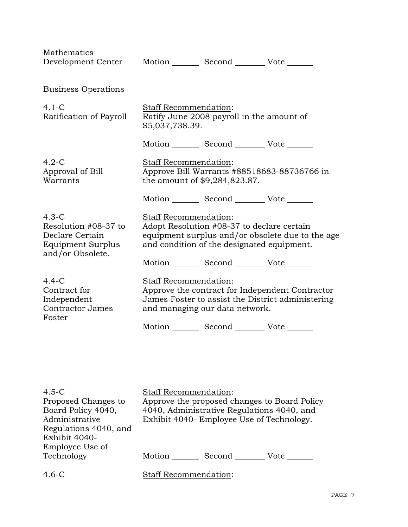| Mathematics<br>Development Center                                                                  |                                          | Motion Second Vote                                                                       |                                                                                                      |
|----------------------------------------------------------------------------------------------------|------------------------------------------|------------------------------------------------------------------------------------------|------------------------------------------------------------------------------------------------------|
| <b>Business Operations</b>                                                                         |                                          |                                                                                          |                                                                                                      |
| $4.1-C$<br>Ratification of Payroll                                                                 | Staff Recommendation:<br>\$5,037,738.39. | Ratify June 2008 payroll in the amount of                                                |                                                                                                      |
|                                                                                                    |                                          | Motion _________ Second __________ Vote _______                                          |                                                                                                      |
| $4.2-C$<br>Approval of Bill<br>Warrants                                                            | Staff Recommendation:                    | the amount of \$9,284,823.87.                                                            | Approve Bill Warrants #88518683-88736766 in                                                          |
|                                                                                                    |                                          | Motion Second Vote                                                                       |                                                                                                      |
| $4.3-C$<br>Resolution #08-37 to<br>Declare Certain<br><b>Equipment Surplus</b><br>and/or Obsolete. | Staff Recommendation:                    | Adopt Resolution #08-37 to declare certain<br>and condition of the designated equipment. | equipment surplus and/or obsolete due to the age                                                     |
|                                                                                                    |                                          | Motion Second Vote                                                                       |                                                                                                      |
| $4.4 - C$<br>Contract for<br>Independent<br><b>Contractor James</b><br>Foster                      | Staff Recommendation:                    | and managing our data network.                                                           | Approve the contract for Independent Contractor<br>James Foster to assist the District administering |
|                                                                                                    |                                          | Motion _________ Second __________ Vote _______                                          |                                                                                                      |
|                                                                                                    |                                          |                                                                                          |                                                                                                      |
|                                                                                                    |                                          |                                                                                          |                                                                                                      |
| 4.5 $\sim$                                                                                         | Staff Recommendation:                    |                                                                                          |                                                                                                      |

| $4.5-C$               | <b>Staff Recommendation:</b>                 |
|-----------------------|----------------------------------------------|
| Proposed Changes to   | Approve the proposed changes to Board Policy |
| Board Policy 4040,    | 4040, Administrative Regulations 4040, and   |
| Administrative        | Exhibit 4040- Employee Use of Technology.    |
| Regulations 4040, and |                                              |
| Exhibit 4040-         |                                              |
| Employee Use of       |                                              |
| Technology            | Motion<br>Second<br>Vote                     |
|                       |                                              |
| $4.6 - C$             | <b>Staff Recommendation:</b>                 |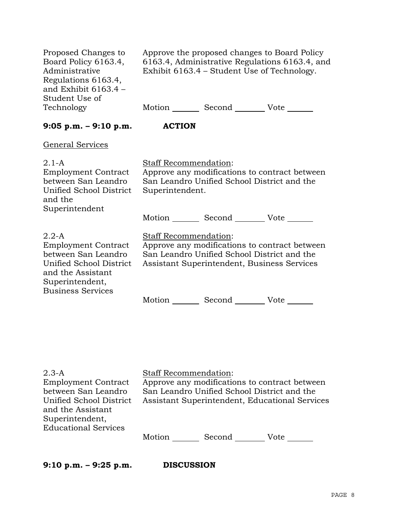| 6163.4, Administrative Regulations 6163.4, and<br>Exhibit 6163.4 – Student Use of Technology.                                                                                  |
|--------------------------------------------------------------------------------------------------------------------------------------------------------------------------------|
| Motion _________ Second __________ Vote ______                                                                                                                                 |
| <b>ACTION</b>                                                                                                                                                                  |
|                                                                                                                                                                                |
| Staff Recommendation:<br>Approve any modifications to contract between<br>San Leandro Unified School District and the<br>Superintendent.                                       |
| Motion _________ Second __________ Vote _______                                                                                                                                |
| <b>Staff Recommendation:</b><br>Approve any modifications to contract between<br>San Leandro Unified School District and the<br>Assistant Superintendent, Business Services    |
| Motion _______ Second _________ Vote ____                                                                                                                                      |
| <b>Staff Recommendation:</b><br>Approve any modifications to contract between<br>San Leandro Unified School District and the<br>Assistant Superintendent, Educational Services |
|                                                                                                                                                                                |

Motion \_\_\_\_\_\_\_\_ Second \_\_\_\_\_\_\_\_\_ Vote \_\_\_\_\_\_\_

**9:10 p.m. – 9:25 p.m. DISCUSSION** 

Educational Services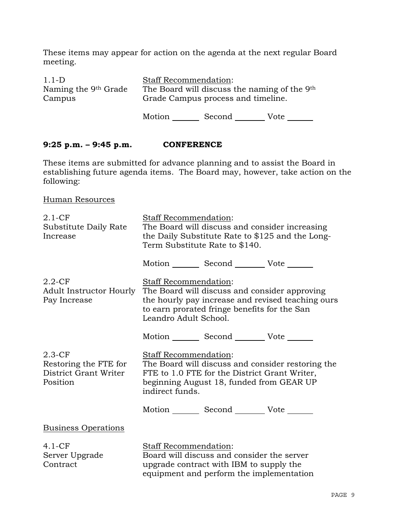These items may appear for action on the agenda at the next regular Board meeting.

| $1.1-D$                          | <b>Staff Recommendation:</b>                             |
|----------------------------------|----------------------------------------------------------|
| Naming the 9 <sup>th</sup> Grade | The Board will discuss the naming of the 9 <sup>th</sup> |
| Campus                           | Grade Campus process and timeline.                       |
|                                  |                                                          |

Motion Second Vote

## **9:25 p.m. – 9:45 p.m. CONFERENCE**

These items are submitted for advance planning and to assist the Board in establishing future agenda items. The Board may, however, take action on the following:

Human Resources

| $2.1 - CF$<br>Substitute Daily Rate<br>Increase                         | <b>Staff Recommendation:</b><br>The Board will discuss and consider increasing<br>the Daily Substitute Rate to \$125 and the Long-<br>Term Substitute Rate to \$140.                                 |  |
|-------------------------------------------------------------------------|------------------------------------------------------------------------------------------------------------------------------------------------------------------------------------------------------|--|
|                                                                         | Motion _________ Second __________ Vote _______                                                                                                                                                      |  |
| $2.2$ -CF<br>Adult Instructor Hourly<br>Pay Increase                    | Staff Recommendation:<br>The Board will discuss and consider approving<br>the hourly pay increase and revised teaching ours<br>to earn prorated fringe benefits for the San<br>Leandro Adult School. |  |
|                                                                         | Motion _________ Second __________ Vote _______                                                                                                                                                      |  |
| $2.3$ -CF<br>Restoring the FTE for<br>District Grant Writer<br>Position | <b>Staff Recommendation:</b><br>The Board will discuss and consider restoring the<br>FTE to 1.0 FTE for the District Grant Writer,<br>beginning August 18, funded from GEAR UP<br>indirect funds.    |  |
|                                                                         | Motion _________ Second __________ Vote _______                                                                                                                                                      |  |
| <b>Business Operations</b>                                              |                                                                                                                                                                                                      |  |
| $4.1-CF$<br>Server Upgrade<br>Contract                                  | Staff Recommendation:<br>Board will discuss and consider the server<br>upgrade contract with IBM to supply the<br>equipment and perform the implementation                                           |  |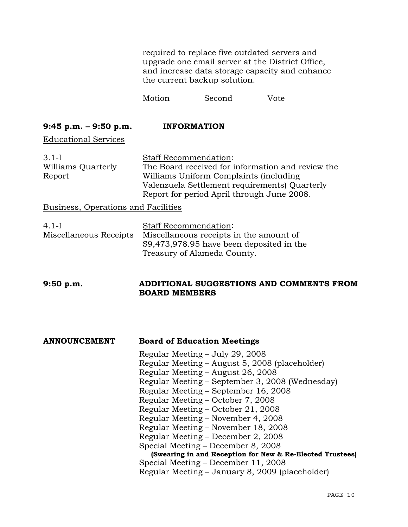required to replace five outdated servers and upgrade one email server at the District Office, and increase data storage capacity and enhance the current backup solution.

Motion Second Vote \_\_\_\_\_\_

# **9:45 p.m. – 9:50 p.m. INFORMATION**

Educational Services

| $3.1-I$            | <b>Staff Recommendation:</b>                      |
|--------------------|---------------------------------------------------|
| Williams Quarterly | The Board received for information and review the |
| Report             | Williams Uniform Complaints (including            |
|                    | Valenzuela Settlement requirements) Quarterly     |
|                    | Report for period April through June 2008.        |
|                    |                                                   |

Business, Operations and Facilities

| $4.1-I$                | <b>Staff Recommendation:</b>              |
|------------------------|-------------------------------------------|
| Miscellaneous Receipts | Miscellaneous receipts in the amount of   |
|                        | \$9,473,978.95 have been deposited in the |
|                        | Treasury of Alameda County.               |

### **9:50 p.m. ADDITIONAL SUGGESTIONS AND COMMENTS FROM BOARD MEMBERS**

| <b>ANNOUNCEMENT</b> | <b>Board of Education Meetings</b>                        |
|---------------------|-----------------------------------------------------------|
|                     | Regular Meeting – July 29, 2008                           |
|                     | Regular Meeting - August 5, 2008 (placeholder)            |
|                     | Regular Meeting – August 26, 2008                         |
|                     | Regular Meeting – September 3, 2008 (Wednesday)           |
|                     | Regular Meeting – September 16, 2008                      |
|                     | Regular Meeting – October 7, 2008                         |
|                     | Regular Meeting – October 21, 2008                        |
|                     | Regular Meeting – November 4, 2008                        |
|                     | Regular Meeting – November 18, 2008                       |
|                     | Regular Meeting – December 2, 2008                        |
|                     | Special Meeting - December 8, 2008                        |
|                     | (Swearing in and Reception for New & Re-Elected Trustees) |
|                     | Special Meeting – December 11, 2008                       |
|                     | Regular Meeting – January 8, 2009 (placeholder)           |
|                     |                                                           |